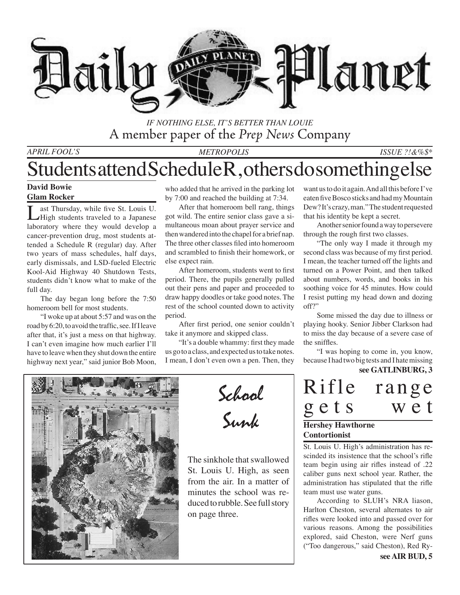

### *If Nothing Else, It's Better than Louie* A member paper of the *Prep News* Company

*April Fool's Metropolis*

#### *ISSUE ?!&%\$\**

## Students attend Schedule R , others do something else

#### **David Bowie**

#### **Glam Rocker**

ast Thursday, while five St. Louis U. High students traveled to a Japanese laboratory where they would develop a cancer-prevention drug, most students attended a Schedule R (regular) day. After two years of mass schedules, half days, early dismissals, and LSD-fueled Electric Kool-Aid Highway 40 Shutdown Tests, students didn't know what to make of the full day.

The day began long before the 7:50 homeroom bell for most students.

"I woke up at about 5:57 and was on the road by 6:20, to avoid the traffic, see. If I leave after that, it's just a mess on that highway. I can't even imagine how much earlier I'll have to leave when they shut down the entire highway next year," said junior Bob Moon,

who added that he arrived in the parking lot by 7:00 and reached the building at 7:34.

After that homeroom bell rang, things got wild. The entire senior class gave a simultaneous moan about prayer service and then wandered into the chapel for a brief nap. The three other classes filed into homeroom and scrambled to finish their homework, or else expect rain.

After homeroom, students went to first period. There, the pupils generally pulled out their pens and paper and proceeded to draw happy doodles or take good notes. The rest of the school counted down to activity period.

After first period, one senior couldn't take it anymore and skipped class.

"It's a double whammy: first they made us go to a class, and expected us to take notes. I mean, I don't even own a pen. Then, they want us to do it again. And all this before I've eaten five Bosco sticks and had my Mountain Dew? It's crazy, man." The student requested that his identity be kept a secret.

Another senior found a way to persevere through the rough first two classes.

"The only way I made it through my second class was because of my first period. I mean, the teacher turned off the lights and turned on a Power Point, and then talked about numbers, words, and books in his soothing voice for 45 minutes. How could I resist putting my head down and dozing off?"

Some missed the day due to illness or playing hooky. Senior Jibber Clarkson had to miss the day because of a severe case of the sniffles.

"I was hoping to come in, you know, because I had two big tests and I hate missing

#### **see GATLINBURG, 3**



School Sunk

The sinkhole that swallowed St. Louis U. High, as seen from the air. In a matter of minutes the school was reduced to rubble. See full story on page three.

| Rifle                                                                                                                                       | range |
|---------------------------------------------------------------------------------------------------------------------------------------------|-------|
| gets                                                                                                                                        | wet   |
| $\mathbf{u}_{\alpha\mathbf{u}\alpha\mathbf{b}\alpha\mathbf{v}}$ $\mathbf{u}_{\alpha\mathbf{v}\alpha\mathbf{b}\alpha\mathbf{v}\alpha\alpha}$ |       |

#### **Hershey Hawthorne Contortionist**

St. Louis U. High's administration has rescinded its insistence that the school's rifle team begin using air rifles instead of .22 caliber guns next school year. Rather, the administration has stipulated that the rifle team must use water guns.

According to SLUH's NRA liason, Harlton Cheston, several alternates to air rifles were looked into and passed over for various reasons. Among the possibilities explored, said Cheston, were Nerf guns ("Too dangerous," said Cheston), Red Ry-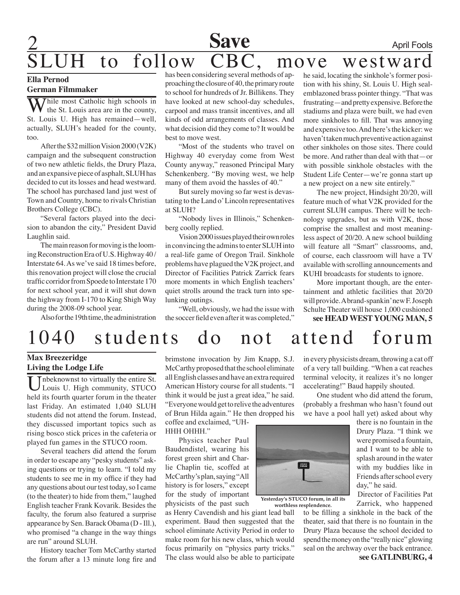## **Save** April Fools to follow CBC, move westward

#### **Ella Pernod German Filmmaker**

Thile most Catholic high schools in the St. Louis area are in the county, St. Louis U. High has remained—well, actually, SLUH's headed for the county, too.

After the \$32 million Vision 2000 (V2K) campaign and the subsequent construction of two new athletic fields, the Drury Plaza, and an expansive piece of asphalt, SLUH has decided to cut its losses and head westward. The school has purchased land just west of Town and Country, home to rivals Christian Brothers College (CBC).

"Several factors played into the decision to abandon the city," President David Laughlin said.

The main reason for moving is the looming Reconstruction Era of U.S. Highway 40 / Interstate 64. As we've said 18 times before, this renovation project will close the crucial traffic corridor from Spoede to Interstate 170 for next school year, and it will shut down the highway from I-170 to King Shigh Way during the 2008-09 school year.

Also for the 19th time, the administration

has been considering several methods of approaching the closure of 40, the primary route to school for hundreds of Jr. Billikens. They have looked at new school-day schedules, carpool and mass transit incentives, and all kinds of odd arrangements of classes. And what decision did they come to? It would be best to move west.

"Most of the students who travel on Highway 40 everyday come from West County anyway," reasoned Principal Mary Schenkenberg. "By moving west, we help many of them avoid the hassles of 40."

But surely moving so far west is devastating to the Land o' Lincoln representatives at SLUH?

"Nobody lives in Illinois," Schenkenberg coolly replied.

Vision 2000 issues played their own roles in convincing the admins to enter SLUH into a real-life game of Oregon Trail. Sinkhole problems have plagued the V2K project, and Director of Facilities Patrick Zarrick fears more moments in which English teachers' quiet strolls around the track turn into spelunking outings.

"Well, obviously, we had the issue with the soccer field even after it was completed,"

he said, locating the sinkhole's former position with his shiny, St. Louis U. High sealemblazoned brass pointer thingy. "That was frustrating—and pretty expensive. Before the stadiums and plaza were built, we had even more sinkholes to fill. That was annoying and expensive too. And here's the kicker: we haven't taken much preventive action against other sinkholes on those sites. There could be more. And rather than deal with that—or with possible sinkhole obstacles with the Student Life Center—we're gonna start up a new project on a new site entirely."

The new project, Hindsight 20/20, will feature much of what V2K provided for the current SLUH campus. There will be technology upgrades, but as with V2K, those comprise the smallest and most meaningless aspect of 20/20. A new school building will feature all "Smart" classrooms, and, of course, each classroom will have a TV available with scrolling announcements and KUHI broadcasts for students to ignore.

More important though, are the entertainment and athletic facilities that 20/20 will provide. A brand-spankin' new F. Joseph Schulte Theater will house 1,000 cushioned **see HEAD WEST YOUNG MAN, 5**

# 1040 students do not attend forum

#### **Max Breezeridge Living the Lodge Life**

Unbeknownst to virtually the entire St. Louis U. High community, STUCO held its fourth quarter forum in the theater last Friday. An estimated 1,040 SLUH students did not attend the forum. Instead, they discussed important topics such as rising bosco stick prices in the cafeteria or played fun games in the STUCO room.

 Several teachers did attend the forum in order to escape any "pesky students" asking questions or trying to learn. "I told my students to see me in my office if they had any questions about our test today, so I came (to the theater) to hide from them," laughed English teacher Frank Kovarik. Besides the faculty, the forum also featured a surprise appearance by Sen.Barack Obama (D -Ill.), who promised "a change in the way things are run" around SLUH.

 History teacher Tom McCarthy started the forum after a 13 minute long fire and

brimstone invocation by Jim Knapp, S.J. McCarthy proposed that the school eliminate allEnglishclasses andhave anextra required American History course for all students. "I think it would be just a great idea," he said. "Everyonewouldgettorelive the adventures of Brun Hilda again." He then dropped his coffee and exclaimed, "UH-

HHH OHHH."

 Physics teacher Paul Baudendistel, wearing his forest green shirt and Charlie Chaplin tie, scoffed at McCarthy'splan,saying"All history is for losers," except for the study of important physicists of the past such

as Henry Cavendish and his giant lead ball experiment. Baud then suggested that the school eliminate Activity Period in order to make room for his new class, which would focus primarily on "physics party tricks." The class would also be able to participate

in every physicists dream, throwing a cat off of a very tall building. "When a cat reaches terminal velocity, it realizes it's no longer accelerating!" Baud happily shouted.

 One student who did attend the forum, (probably a freshman who hasn't found out we have a pool hall yet) asked about why

> there is no fountain in the Drury Plaza. "I think we were promised a fountain, and I want to be able to splash around in the water with my buddies like in Friends after school every day," he said.

> Director of Facilities Pat Zarrick, who happened

to be filling a sinkhole in the back of the theater, said that there is no fountain in the Drury Plaza because the school decided to spend the money on the "really nice" glowing seal on the archway over the back entrance. **see GATLINBURG, 4 worthless resplendence.**

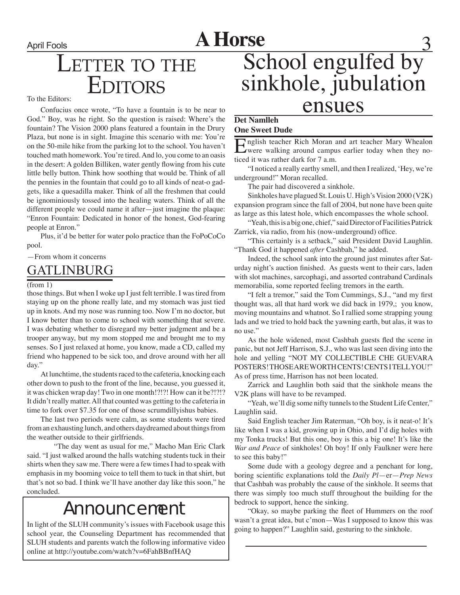# April Fools **A Horse**

## LETTER TO THE **EDITORS**

To the Editors:

Confucius once wrote, "To have a fountain is to be near to God." Boy, was he right. So the question is raised: Where's the fountain? The Vision 2000 plans featured a fountain in the Drury Plaza, but none is in sight. Imagine this scenario with me: You're on the 50-mile hike from the parking lot to the school. You haven't touched math homework. You're tired. And lo, you come to an oasis in the desert: A golden Billiken, water gently flowing from his cute little belly button. Think how soothing that would be. Think of all the pennies in the fountain that could go to all kinds of neat-o gadgets, like a quesadilla maker. Think of all the freshmen that could be ignominiously tossed into the healing waters. Think of all the different people we could name it after—just imagine the plaque: "Enron Fountain: Dedicated in honor of the honest, God-fearing people at Enron."

Plus, it'd be better for water polo practice than the FoPoCoCo pool.

—From whom it concerns

## **GATLINBURG**

#### (from 1)

those things. But when I woke up I just felt terrible. I was tired from staying up on the phone really late, and my stomach was just tied up in knots. And my nose was running too. Now I'm no doctor, but I know better than to come to school with something that severe. I was debating whether to disregard my better judgment and be a trooper anyway, but my mom stopped me and brought me to my senses. So I just relaxed at home, you know, made a CD, called my friend who happened to be sick too, and drove around with her all day."

At lunchtime, the students raced to the cafeteria, knocking each other down to push to the front of the line, because, you guessed it, it was chicken wrap day! Two in one month!?!?! How can it be?!?!? It didn't really matter. All that counted was getting to the cafeteria in time to fork over \$7.35 for one of those scrumdillyishus babies.

The last two periods were calm, as some students were tired from an exhausting lunch, and others daydreamed about things from the weather outside to their girlfriends.

"The day went as usual for me," Macho Man Eric Clark said. "I just walked around the halls watching students tuck in their shirts when they saw me. There were a few times I had to speak with emphasis in my booming voice to tell them to tuck in that shirt, but that's not so bad. I think we'll have another day like this soon," he concluded.

## Announcement

In light of the SLUH community's issues with Facebook usage this school year, the Counseling Department has recommended that SLUH students and parents watch the following informative video online at http://youtube.com/watch?v=6FahBBnfHAQ

# School engulfed by sinkhole, jubulation ensues

### **Det Namlleh**

#### **One Sweet Dude**

English teacher Rich Moran and art teacher Mary Whealon were walking around campus earlier today when they noticed it was rather dark for 7 a.m.

"I noticed a really earthy smell, and then I realized, 'Hey, we're underground!" Moran recalled.

The pair had discovered a sinkhole.

Sinkholes have plagued St. Louis U. High's Vision 2000 (V2K) expansion program since the fall of 2004, but none have been quite as large as this latest hole, which encompasses the whole school.

"Yeah, this is a big one, chief," said Director of Facilities Patrick Zarrick, via radio, from his (now-underground) office.

"This certainly is a setback," said President David Laughlin. "Thank God it happened *after* Cashbah," he added.

Indeed, the school sank into the ground just minutes after Saturday night's auction finished. As guests went to their cars, laden with slot machines, sarcophagi, and assorted contraband Cardinals memorabilia, some reported feeling tremors in the earth.

"I felt a tremor," said the Tom Cummings, S.J., "and my first thought was, all that hard work we did back in 1979,; you know, moving mountains and whatnot. So I rallied some strapping young lads and we tried to hold back the yawning earth, but alas, it was to no use."

As the hole widened, most Cashbah guests fled the scene in panic, but not Jeff Harrison, S.J., who was last seen diving into the hole and yelling "NOT MY COLLECTIBLE CHE GUEVARA POSTERS! THOSE ARE WORTH CENTS! CENTS I TELL YOU!" As of press time, Harrison has not been located.

Zarrick and Laughlin both said that the sinkhole means the V2K plans will have to be revamped.

"Yeah, we'll dig some nifty tunnels to the Student Life Center," Laughlin said.

Said English teacher Jim Raterman, "Oh boy, is it neat-o! It's like when I was a kid, growing up in Ohio, and I'd dig holes with my Tonka trucks! But this one, boy is this a big one! It's like the *War and Peace* of sinkholes! Oh boy! If only Faulkner were here to see this baby!"

Some dude with a geology degree and a penchant for long, boring scientific explanations told the *Daily Pl*—er—*Prep News*  that Cashbah was probably the cause of the sinkhole. It seems that there was simply too much stuff throughout the building for the bedrock to support, hence the sinking.

"Okay, so maybe parking the fleet of Hummers on the roof wasn't a great idea, but c'mon—Was I supposed to know this was going to happen?" Laughlin said, gesturing to the sinkhole.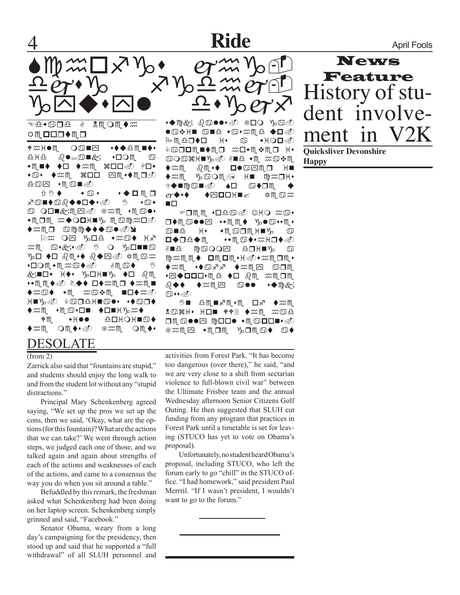## **Ride** April Fools



Edward G Nemeth ⇔M OOO◆M O

♦⋙ឣ●Ⅲ **OS■⊠ ◆◆◆≏Ⅲ■◆**  $\begin{bmatrix} \texttt{diag} & \texttt{diag} & \texttt{diag} \end{bmatrix}$  $\bullet$   $\blacksquare\bullet\bullet\bullet\rightarrow\mathbb{Z}$  and  $\mathbb{R}$  to  $\bullet$ ◆♋◆ ◆*※*M ೫口口 ⊠M ◆◆M O*@* oda •Mo∎≪o

 $\hat{U} \circledast \bullet \qquad \bullet \circledast \bullet \qquad \bullet \bullet \bullet \blacksquare \blacksquare$ y⊙∎♦©∂♦●□♦•⊛ । ა⊙◆  $\circledcirc$  ode $\circledast$ mr $\circledast$  seals  $\circledast$ \*MOM #◆OOH■% M©M#OD ◆₩MO S™™◆◆◆S●④Y

 $\lim_{x\to a}$  O $\bigcirc$   $\lim_{x\to a}$   $\lim_{x\to a}$   $\lim_{x\to a}$ he asks. I m gonna go to best buy. Yeah somewehat. Geat I «GID• <del>k</del>♦• ∿dhw» ♦d 3M \*\*MM◆sD ��◆ ロ♦≈Mロ ◆≈M■  $\blacklozenge$  and  $\blacklozenge$  mathement in  $\mathbb{R}$  . The mathemential mathematical method  $\mathbb{R}$  $\star$  in  $\mathbb{C}$  of  $\mathbb{C}$  . The set  $\star$ the season tonight ♦M ◆\(●● ≏□\(○\■♋♦  $\blacklozenge$ mmets. Om $\blacklozenge \blacktriangleright$ s. The metallicity of  $\blacktriangleright$ 

### DESOLATE

#### (from 2)

Zarrick also said that "fountains are stupid," and students should enjoy the long walk to and from the student lot without any "stupid distractions."

 Principal Mary Schenkenberg agreed saying, "We set up the pros we set up the cons, then we said, 'Okay, what are the options (for this fountain)? What are the actions that we can take?' We went through action steps, we judged each one of those, and we talked again and again about strengths of each of the actions and weaknesses of each of the actions, and came to a consensus the way you do when you sit around a table."

Befuddled by this remark, the freshman asked what Schenkenberg had been doing on her laptop screen. Schenkenberg simply grinned and said, "Facebook."

 Senator Obama, weary from a long day's campaigning for the presidency, then stood up and said that he supported a "full withdrawal" of all SLUH personnel and

 $\cdot \blacklozenge$   $\mathbb{Q}$   $\mathbb{R}$   $\cdot \mathbb{Z}$   $\mathbb{Z}$   $\mathbb{Z}$   $\mathbb{Z}$   $\mathbb{Z}$   $\mathbb{Z}$   $\mathbb{Z}$   $\mathbb{Z}$   $\mathbb{Z}$   $\mathbb{Z}$   $\mathbb{Z}$   $\mathbb{Z}$   $\mathbb{Z}$   $\mathbb{Z}$   $\mathbb{Z}$   $\mathbb{Z}$   $\mathbb{Z}$   $\mathbb{Z}$   $\mathbb{Z}$   $\mathbb{Z}$   $\mathbb{Z}$   $\$  $\bullet$ shed  $\bullet$ s $\cdot$ m $\mathbb{R}$   $\bullet$   $\blacksquare$ Pedrto is a wimp. NGOOM■◆MO *≈*O•M❖MO <del>i</del> GOG#H■}⊙@D ∛■≏ ◆m\_≈G❖m  $\blacklozenge$ x $\mathfrak{m}$   $\land$   $\blacklozenge$   $\blacksquare$   $\blacklozenge$   $\oslash$   $\mathfrak{m}$   $\Box$   $\blacktriangleright$   $\blacksquare$  $\blacklozenge$ m $\mathfrak{m}$  yeo $\mathfrak{m}$  and  $\mathfrak{m}$   $\mathfrak{m}$   $\blacksquare$ \$♦∎∰©∎≪Û ♦⊡ ©♦⊡∭  $ev \blacklozenge \cdot \blacklozenge$   $\blacklozenge$   $\Box$   $\Box$   $\mathbb{H}$   $\mathbb{S}$   $\mathbb{Z}$   $\mathbb{Z}$   $\mathbb{Z}$   $\mathbb{Z}$   $\mathbb{Z}$   $\mathbb{Z}$   $\mathbb{Z}$   $\mathbb{Z}$   $\mathbb{Z}$   $\mathbb{Z}$   $\mathbb{Z}$   $\mathbb{Z}$   $\mathbb{Z}$   $\mathbb{Z}$   $\mathbb{Z}$   $\mathbb{Z}$   $\mathbb{Z}$   $\mathbb{Z}$   $\mathbb{Z}$ no

 $\bullet$ omm  $\bullet$ d $\bullet$ da.  $\circ$ ho  $\ast$ o $\bullet$  $\square\blacklozenge$ m $\square$ soo $\square$   $\dashv$ m $\Uparrow\blacklozenge$  y $\circ$ o $\square\!\circ\!\cdot$ m $\cdot$ and is weareing a ◘♦◘≏♦∭ ••∭♋♦•ӝӾ◘♦@ Y∎<del>t</del> Mooor <del>t</del>uk∎Y o mamm◆ omom+k@\*amom+  $\blacklozenge$ xm  $\ldots$   $\blacklozenge$   $\ldots$   $\bowtie$   $\ldots$   $\bowtie$   $\bowtie$   $\bowtie$   $\bowtie$   $\bowtie$   $\bowtie$   $\bowtie$   $\bowtie$   $\bowtie$   $\bowtie$   $\bowtie$   $\bowtie$   $\bowtie$   $\bowtie$   $\bowtie$   $\bowtie$   $\bowtie$   $\bowtie$   $\bowtie$   $\bowtie$   $\bowtie$   $\bowtie$   $\bowtie$   $\bowtie$   $\bowtie$   $\bowtie$   $\bowtie$   $\bowtie$   $\bowtie$   $\bowtie$ ∙⊠◆◘◘◘•M્≏ ♦□ &M ≈M⊐M {<mark>√↑↑</mark> ↑*\*\** µ⊠ ⊙●● •◆ ‼}&  $\mathbb{G}\cdots$ 

ঙ∎ ≏M∎ይM∙M ロ۶ ♦≈m &QXX+ XO■ ††R ◆``M ™Q<del>u</del> really cool weapons. ‡≈m⊠ •MOM ½OM⊙♦ ©♦

activities from Forest Park. "It has become too dangerous (over there)," he said, "and we are very close to a shift from sectarian violence to full-blown civil war" between the Ultimate Frisbee team and the annual Wednesday afternoon Senior Citizens Golf Outing. He then suggested that SLUH cut funding from any program that practices in Forest Park until a timetable is set for leaving (STUCO has yet to vote on Obama's proposal).

 Unfortunately,nostudentheardObama's proposal, including STUCO, who left the forum early to go "chill" in the STUCO office. "I had homework," said president Paul Merrril. "If I wasn't president, I wouldn't want to go to the forum."



**Quicksliver Devonshire Happy**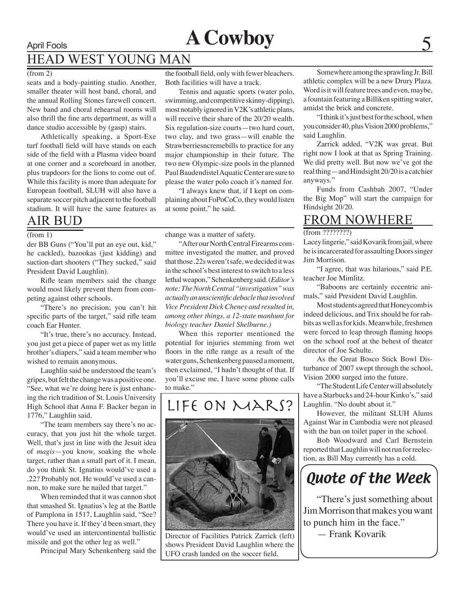# April Fools **A Cowboy**

## HEAD WEST YOUNG MAN

#### (from 2)

seats and a body-painting studio. Another, smaller theater will host band, choral, and the annual Rolling Stones farewell concert. New band and choral rehearsal rooms will also thrill the fine arts department, as will a dance studio accessible by (gasp) stairs.

Athletically speaking, a Sport-Exe turf football field will have stands on each side of the field with a Plasma video board at one corner and a scoreboard in another, plus trapdoors for the lions to come out of. While this facility is more than adequate for European football, SLUH will also have a separate soccer pitch adjacent to the football stadium. It will have the same features as

### AIR BUD

#### (from 1)

der BB Guns ("You'll put an eye out, kid," he cackled), bazookas (just kidding) and suction-dart shooters ("They sucked," said President David Laughlin).

Rifle team members said the change would most likely prevent them from competing against other schools.

"There's no precision; you can't hit specific parts of the target," said rifle team coach Ear Hunter.

"It's true, there's no accuracy. Instead, you just get a piece of paper wet as my little brother's diapers," said a team member who wished to remain anonymous.

Laughlin said he understood the team's gripes, but felt the change was a positive one. "See, what we're doing here is just enhancing the rich tradition of St. Louis University High School that Anna F. Backer began in 1776," Laughlin said.

"The team members say there's no accuracy, that you just hit the whole target. Well, that's just in line with the Jesuit idea of *magis*—you know, soaking the whole target, rather than a small part of it. I mean, do you think St. Ignatius would've used a .22? Probably not. He would've used a cannon, to make sure he nailed that target."

When reminded that it was cannon shot that smashed St. Ignatius's leg at the Battle of Pamplona in 1517, Laughlin said, "See? There you have it. If they'd been smart, they would've used an intercontinental ballistic missile and got the other leg as well."

Principal Mary Schenkenberg said the

the football field, only with fewer bleachers. Both facilities will have a track.

Tennis and aquatic sports (water polo, swimming, and competitive skinny-dipping), most notably ignored in V2K's athletic plans, will receive their share of the 20/20 wealth. Six regulation-size courts—two hard court, two clay, and two grass—will enable the Strawberriesncremebills to practice for any major championship in their future. The two new Olympic-size pools in the planned Paul Baudendistel Aquatic Center are sure to please the water polo coach it's named for.

"I always knew that, if I kept on complaining about FoPoCoCo, they would listen at some point," he said.

change was a matter of safety.

"After our North Central Firearms committee investigated the matter, and proved that those .22s weren't safe, we decided it was in the school's best interest to switch to a less lethal weapon," Schenkenberg said. (*Editor's note: The North Central "investigation" was actually an unscientific debacle that involved Vice President Dick Cheney and resulted in, among other things, a 12-state manhunt for biology teacher Daniel Shelburne.)* 

When this reporter mentioned the potential for injuries stemming from wet floors in the rifle range as a result of the water guns, Schenkenberg paused a moment, then exclaimed, "I hadn't thought of that. If you'll excuse me, I have some phone calls to make."

### Life on Mars?



Director of Facilities Patrick Zarrick (left) shows President David Laughlin where the UFO crash landed on the soccer field.

Somewhere among the sprawling Jr. Bill athletic complex will be a new Drury Plaza. Word is it will feature trees and even, maybe, a fountain featuring a Billiken spitting water, amidst the brick and concrete.

"I think it's just best for the school, when you consider 40, plus Vision 2000 problems," said Laughlin.

Zarrick added, "V2K was great. But right now I look at that as Spring Training. We did pretty well. But now we've got the real thing—and Hindsight 20/20 is a catchier anyways."

Funds from Cashbah 2007, "Under the Big Mop" will start the campaign for Hindsight 20/20.

### FROM NOWHERE

(from ?????????)

Lacey lingerie," said Kovarik from jail, where he is incarcerated for assaulting Doors singer Jim Morrison.

"I agree, that was hilarious," said P.E. teacher Joe Mimlitz.

"Baboons are certainly eccentric animals," said President David Laughlin.

Most students agreed that Honeycomb is indeed delicious, and Trix should be for rabbits as well as for kids. Meanwhile, freshmen were forced to leap through flaming hoops on the school roof at the behest of theater director of Joe Schulte.

As the Great Bosco Stick Bowl Disturbance of 2007 swept through the school, Vision 2000 surged into the future.

"The Student Life Center will absolutely have a Starbucks and 24-hour Kinko's," said Laughlin. "No doubt about it."

However, the militant SLUH Alums Against War in Cambodia were not pleased with the ban on toilet paper in the school.

Bob Woodward and Carl Bernstein reported that Laughlin will not run for reelection, as Bill May currently has a cold.

## Quote of the Week

"There's just something about Jim Morrison that makes you want to punch him in the face."

— Frank Kovarik